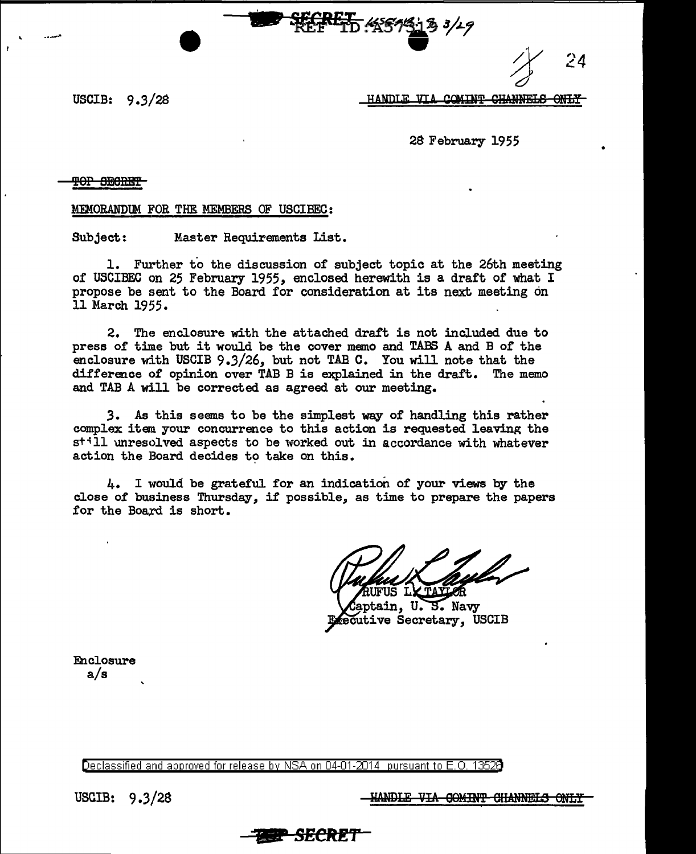24

USCIB:  $9.3/28$ 

HANDLE VIA COMINT CHANNELS ONLY

28 February 1955

## <del>TOP SECRET</del>

MEMORANDUM FOR THE MEMBERS OF USCIBEC:

Subject: Master Requirements List.

1. Further to the discussion of subject topic at the 26th meeting of USCIBEC on 25 February 1955, enclosed herewith is a draft of what I propose be sent to the Board for consideration at its next meeting on 11 March 1955.

2. The enclosure with the attached draft is not included due to press of time but it would be the cover memo and TABS A and B of the enclosure with USCIB 9.3/26, but not TAB C. You will note that the difference of opinion over TAB B is explained in the draft. The memo and TAB A will be corrected as agreed at our meeting.

3. As this seems to be the simplest way of handling this rather complex item your concurrence to this action is requested leaving the still unresolved aspects to be worked out in accordance with whatever action the Board decides to take on this.

 $4.1$  I would be grateful for an indication of your views by the close of business Thursday, if possible, as time to prepare the papers for the Board is short.

Т.

ptain, U.S. Navy ecutive Secretary, USCIB

Enclosure  $a/s$ 

Declassified and approved for release by NSA on 04-01-2014 pursuant to E.O. 1352B

USCIB:  $9.3/28$ 

<u>HANDLE VIA GOMINT CHANNELS ONLY</u>

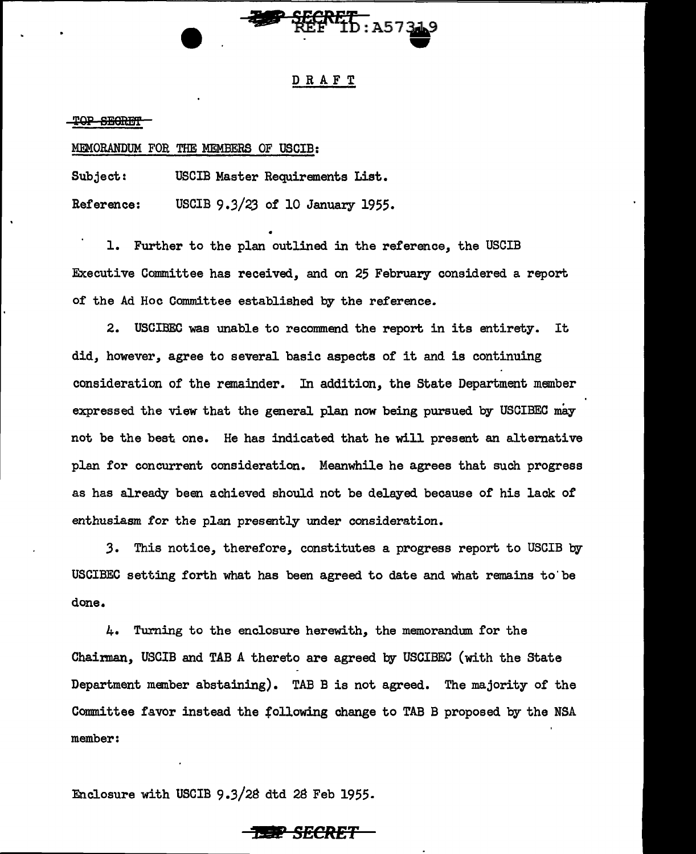

# DRAFT

TOP SEGRET

### MEMORANDUM F'OR THE MEMBERS OF USCIB:

Subject: USCIB Master Requirements List. Reference: USCIB 9.3/23 of 10 January 1955.

• 1. Further to the plan outlined in the reference, the USCIB Executive Committee has received, and on 25 February considered a report of the Ad Hoc Committee established by the reference.

2. USGIBEC was unable to recommend the report in its entirety. It did, however, agree to several basic aspects of it and is continuing consideration of the remainder. In addition, the State Department member expressed the view that the general plan now being pursued by USCIBEC may not be the best one. He has indicated that he will present an alternative plan for concurrent consideration. Meanwhile he agrees that such progress as has already been achieved should not be delayed because of his lack of enthusiasm for the plan presently under consideration.

*3.* This notice, therefore, constitutes a progress report to USCIB by USCIBEC setting forth what has been agreed to date and what remains to'be done.

4. Turning to the enclosure herewith, the memorandum. for the Chairman, USCIB and TAB A thereto are agreed by USCIBEC (with the State Department member abstaining). TAB B is not agreed. The majority of the Committee favor instead the following change to TAB B proposed by the NSA member:

Enclosure with USCIB 9.3/2a dtd 2S Feb 1955.

**P** *SECRET*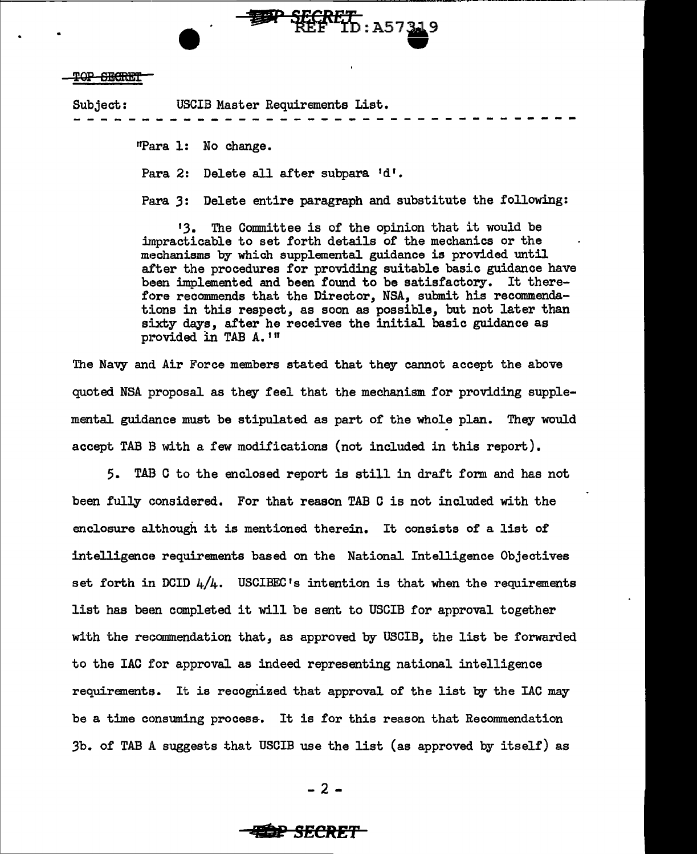### T<del>OP SECRET</del>

Subject: USCIB Master Requirements List. - -- -- - - - - - -- - - - - - - - -- - - - - - ----

"Para l: No change.

Para 2: Delete all after subpara 'd'.

Para *3:* Delete entire paragraph and substitute the following:

13. The Committee is of the opinion that it would be impracticable to set forth details of the mechanics or the mechanisms by which supplemental guidance is provided until after the procedures for providing suitable basic guidance have been implemented and been found to be satisfactory. It therefore recommends that the Director, NSA, submit his recommendations in this respect, as soon as possible, but not later than sixty days, after he receives the initial basic guidance as provided in TAB A. 1"

The Navy and Air Force members stated that they cannot accept the above quoted NSA proposal as they feel that the mechanism for providing supplemental guidance must be stipulated as part of the whole plan. They would accept TAB B with a few modifications (not included in this report).

5. TAB C to the enclosed report is still in draft form and has not been fully considered. For that reason TAB C is not included with the enclosure although it is mentioned therein. It consists of a list of intelligence requirements based on the National Intelligence Objectives set forth in DCID  $4/4$ . USCIBEC's intention is that when the requirements list has been completed it will be sent to USCIB for approval together with the recommendation that, as approved by USCIB, the list be forwarded to the IAC for approval as indeed representing national intelligence requirements. It is recognized that approval of the list by the IAC may be a time ccmsuming process-. It is for this reason that Recommendation 3b. of TAB A suggests that USCIB use the list (as approved by itself) as

- 2 -